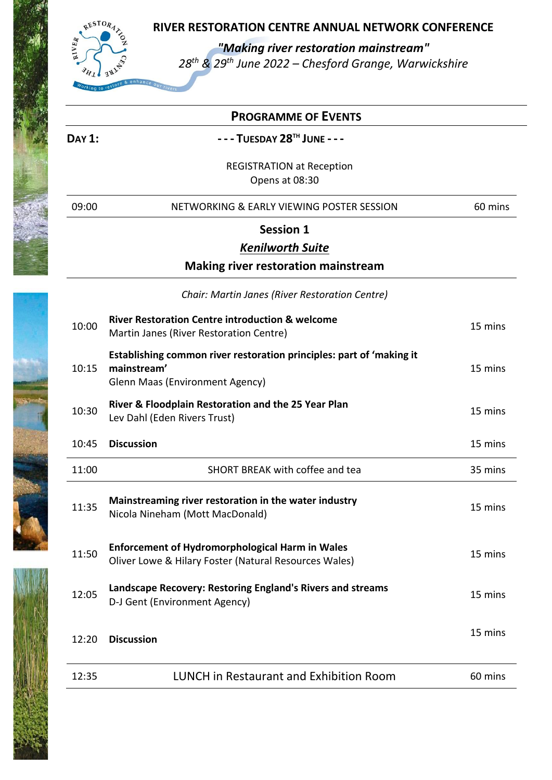

*"Making river restoration mainstream"*

*28th & 29th June 2022 – Chesford Grange, Warwickshire*

|               | <b>PROGRAMME OF EVENTS</b>                                                                                                    |         |
|---------------|-------------------------------------------------------------------------------------------------------------------------------|---------|
| <b>DAY 1:</b> | - - - TUESDAY 28TH JUNE - - -                                                                                                 |         |
|               | <b>REGISTRATION at Reception</b><br>Opens at 08:30                                                                            |         |
| 09:00         | NETWORKING & EARLY VIEWING POSTER SESSION                                                                                     | 60 mins |
|               | <b>Session 1</b>                                                                                                              |         |
|               | <b>Kenilworth Suite</b>                                                                                                       |         |
|               | <b>Making river restoration mainstream</b>                                                                                    |         |
|               | Chair: Martin Janes (River Restoration Centre)                                                                                |         |
| 10:00         | <b>River Restoration Centre introduction &amp; welcome</b><br>Martin Janes (River Restoration Centre)                         | 15 mins |
| 10:15         | Establishing common river restoration principles: part of 'making it<br>mainstream'<br><b>Glenn Maas (Environment Agency)</b> | 15 mins |
| 10:30         | River & Floodplain Restoration and the 25 Year Plan<br>Lev Dahl (Eden Rivers Trust)                                           | 15 mins |
| 10:45         | <b>Discussion</b>                                                                                                             | 15 mins |
| 11:00         | SHORT BREAK with coffee and tea                                                                                               | 35 mins |
| 11:35         | Mainstreaming river restoration in the water industry<br>Nicola Nineham (Mott MacDonald)                                      | 15 mins |
| 11:50         | <b>Enforcement of Hydromorphological Harm in Wales</b><br>Oliver Lowe & Hilary Foster (Natural Resources Wales)               | 15 mins |
| 12:05         | Landscape Recovery: Restoring England's Rivers and streams<br>D-J Gent (Environment Agency)                                   | 15 mins |
| 12:20         | <b>Discussion</b>                                                                                                             | 15 mins |
| 12:35         | <b>LUNCH in Restaurant and Exhibition Room</b>                                                                                | 60 mins |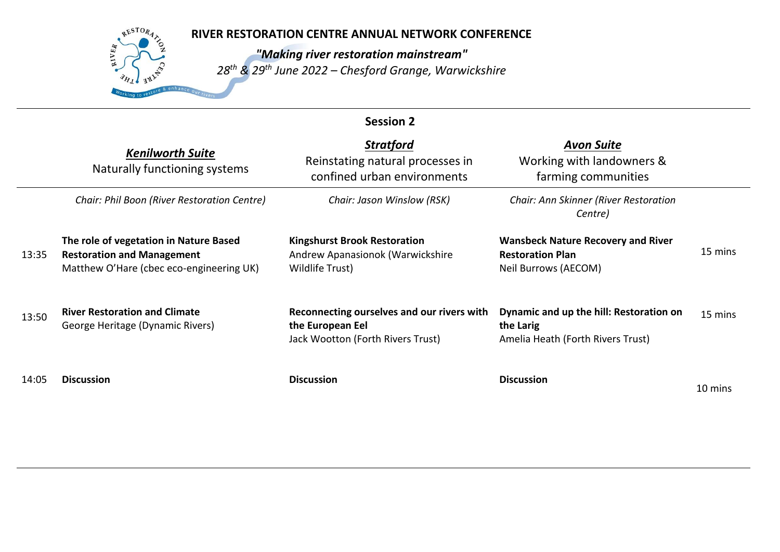# RESTORA **AIVER**

# **RIVER RESTORATION CENTRE ANNUAL NETWORK CONFERENCE**

*"Making river restoration mainstream" 28th & 29th June 2022 – Chesford Grange, Warwickshire*

| <b>Session 2</b> |                                                                                                                         |                                                                                                     |                                                                                              |         |
|------------------|-------------------------------------------------------------------------------------------------------------------------|-----------------------------------------------------------------------------------------------------|----------------------------------------------------------------------------------------------|---------|
|                  | <b>Kenilworth Suite</b><br>Naturally functioning systems                                                                | <b>Stratford</b><br>Reinstating natural processes in<br>confined urban environments                 | <b>Avon Suite</b><br>Working with landowners &<br>farming communities                        |         |
|                  | Chair: Phil Boon (River Restoration Centre)                                                                             | Chair: Jason Winslow (RSK)                                                                          | Chair: Ann Skinner (River Restoration<br>Centre)                                             |         |
| 13:35            | The role of vegetation in Nature Based<br><b>Restoration and Management</b><br>Matthew O'Hare (cbec eco-engineering UK) | <b>Kingshurst Brook Restoration</b><br>Andrew Apanasionok (Warwickshire<br>Wildlife Trust)          | <b>Wansbeck Nature Recovery and River</b><br><b>Restoration Plan</b><br>Neil Burrows (AECOM) | 15 mins |
| 13:50            | <b>River Restoration and Climate</b><br>George Heritage (Dynamic Rivers)                                                | Reconnecting ourselves and our rivers with<br>the European Eel<br>Jack Wootton (Forth Rivers Trust) | Dynamic and up the hill: Restoration on<br>the Larig<br>Amelia Heath (Forth Rivers Trust)    | 15 mins |
| 14:05            | <b>Discussion</b>                                                                                                       | <b>Discussion</b>                                                                                   | <b>Discussion</b>                                                                            | 10 mins |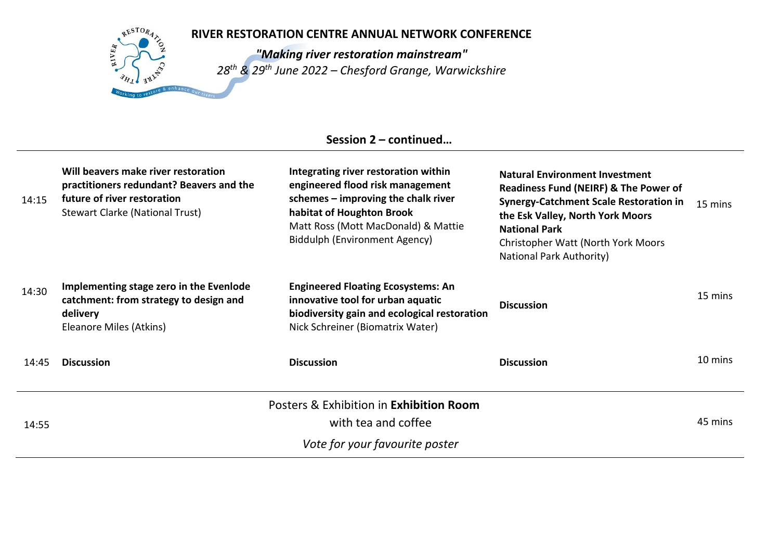# RESTORA **AIVER**

# **RIVER RESTORATION CENTRE ANNUAL NETWORK CONFERENCE**

*"Making river restoration mainstream" 28th & 29th June 2022 – Chesford Grange, Warwickshire*

# **Session 2 – continued…**

| 14:15 | Will beavers make river restoration<br>practitioners redundant? Beavers and the<br>future of river restoration<br>Stewart Clarke (National Trust) | Integrating river restoration within<br>engineered flood risk management<br>schemes $-$ improving the chalk river<br>habitat of Houghton Brook<br>Matt Ross (Mott MacDonald) & Mattie<br><b>Biddulph (Environment Agency)</b> | <b>Natural Environment Investment</b><br>Readiness Fund (NEIRF) & The Power of<br><b>Synergy-Catchment Scale Restoration in</b><br>the Esk Valley, North York Moors<br><b>National Park</b><br>Christopher Watt (North York Moors<br><b>National Park Authority)</b> | 15 mins |
|-------|---------------------------------------------------------------------------------------------------------------------------------------------------|-------------------------------------------------------------------------------------------------------------------------------------------------------------------------------------------------------------------------------|----------------------------------------------------------------------------------------------------------------------------------------------------------------------------------------------------------------------------------------------------------------------|---------|
| 14:30 | Implementing stage zero in the Evenlode<br>catchment: from strategy to design and<br>delivery<br>Eleanore Miles (Atkins)                          | <b>Engineered Floating Ecosystems: An</b><br>innovative tool for urban aquatic<br>biodiversity gain and ecological restoration<br>Nick Schreiner (Biomatrix Water)                                                            | <b>Discussion</b>                                                                                                                                                                                                                                                    | 15 mins |
| 14:45 | <b>Discussion</b>                                                                                                                                 | <b>Discussion</b>                                                                                                                                                                                                             | <b>Discussion</b>                                                                                                                                                                                                                                                    | 10 mins |
|       |                                                                                                                                                   | Posters & Exhibition in Exhibition Room                                                                                                                                                                                       |                                                                                                                                                                                                                                                                      |         |
| 14:55 |                                                                                                                                                   | with tea and coffee                                                                                                                                                                                                           |                                                                                                                                                                                                                                                                      | 45 mins |
|       |                                                                                                                                                   | Vote for your favourite poster                                                                                                                                                                                                |                                                                                                                                                                                                                                                                      |         |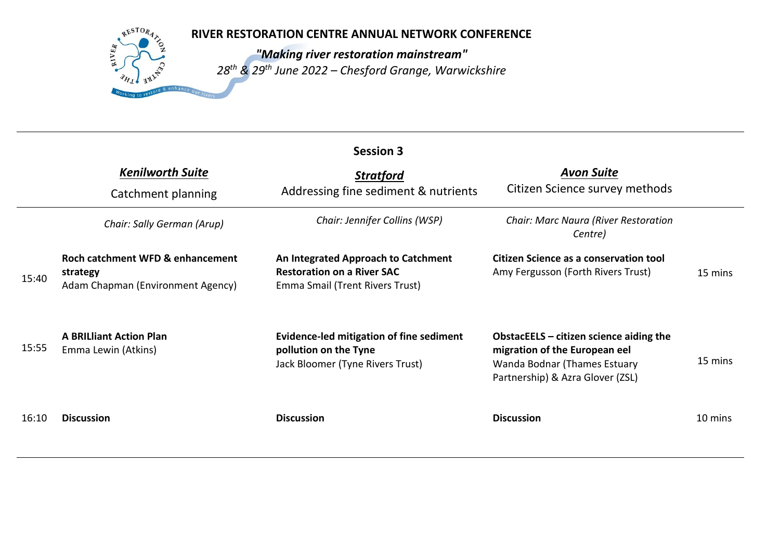RESTORA

**AIVER** 

*"Making river restoration mainstream" 28th & 29th June 2022 – Chesford Grange, Warwickshire*

|       | <b>Session 3</b>                                                                  |                                                                                                             |                                                                                                                                                |         |  |
|-------|-----------------------------------------------------------------------------------|-------------------------------------------------------------------------------------------------------------|------------------------------------------------------------------------------------------------------------------------------------------------|---------|--|
|       | <b>Kenilworth Suite</b><br>Catchment planning                                     | <b>Stratford</b><br>Addressing fine sediment & nutrients                                                    | <b>Avon Suite</b><br>Citizen Science survey methods                                                                                            |         |  |
|       | Chair: Sally German (Arup)                                                        | Chair: Jennifer Collins (WSP)                                                                               | <b>Chair: Marc Naura (River Restoration</b><br>Centre)                                                                                         |         |  |
| 15:40 | Roch catchment WFD & enhancement<br>strategy<br>Adam Chapman (Environment Agency) | An Integrated Approach to Catchment<br><b>Restoration on a River SAC</b><br>Emma Smail (Trent Rivers Trust) | Citizen Science as a conservation tool<br>Amy Fergusson (Forth Rivers Trust)                                                                   | 15 mins |  |
| 15:55 | <b>A BRILliant Action Plan</b><br>Emma Lewin (Atkins)                             | Evidence-led mitigation of fine sediment<br>pollution on the Tyne<br>Jack Bloomer (Tyne Rivers Trust)       | ObstacEELS $-$ citizen science aiding the<br>migration of the European eel<br>Wanda Bodnar (Thames Estuary<br>Partnership) & Azra Glover (ZSL) | 15 mins |  |
| 16:10 | <b>Discussion</b>                                                                 | <b>Discussion</b>                                                                                           | <b>Discussion</b>                                                                                                                              | 10 mins |  |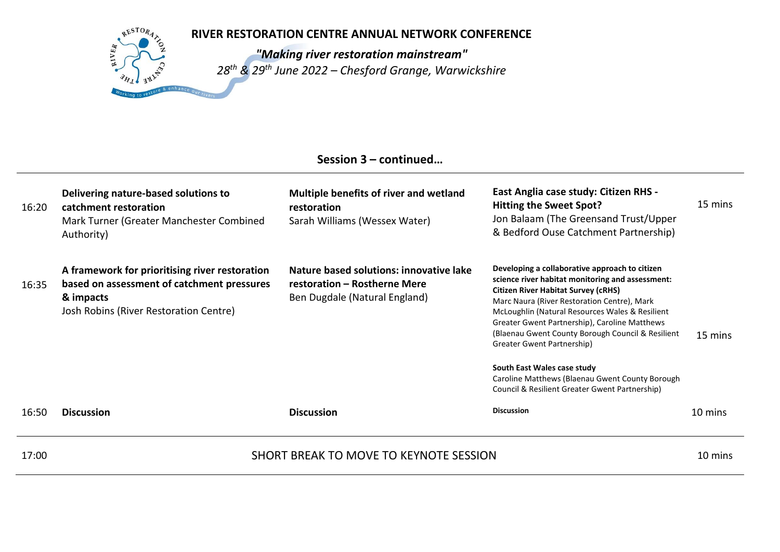RESTOR<sub>A</sub>

 $kIVER$ 

*"Making river restoration mainstream" 28th & 29th June 2022 – Chesford Grange, Warwickshire*

# **Session 3 – continued…**

| 16:20 | Delivering nature-based solutions to<br>catchment restoration<br>Mark Turner (Greater Manchester Combined<br>Authority)                             | Multiple benefits of river and wetland<br>restoration<br>Sarah Williams (Wessex Water)                   | East Anglia case study: Citizen RHS -<br>Hitting the Sweet Spot?<br>Jon Balaam (The Greensand Trust/Upper<br>& Bedford Ouse Catchment Partnership)                                                                                                                                                                                                                                                                    | 15 mins |
|-------|-----------------------------------------------------------------------------------------------------------------------------------------------------|----------------------------------------------------------------------------------------------------------|-----------------------------------------------------------------------------------------------------------------------------------------------------------------------------------------------------------------------------------------------------------------------------------------------------------------------------------------------------------------------------------------------------------------------|---------|
| 16:35 | A framework for prioritising river restoration<br>based on assessment of catchment pressures<br>& impacts<br>Josh Robins (River Restoration Centre) | Nature based solutions: innovative lake<br>restoration - Rostherne Mere<br>Ben Dugdale (Natural England) | Developing a collaborative approach to citizen<br>science river habitat monitoring and assessment:<br><b>Citizen River Habitat Survey (cRHS)</b><br>Marc Naura (River Restoration Centre), Mark<br>McLoughlin (Natural Resources Wales & Resilient<br>Greater Gwent Partnership), Caroline Matthews<br>(Blaenau Gwent County Borough Council & Resilient<br>Greater Gwent Partnership)<br>South East Wales case study | 15 mins |
|       |                                                                                                                                                     |                                                                                                          | Caroline Matthews (Blaenau Gwent County Borough<br>Council & Resilient Greater Gwent Partnership)                                                                                                                                                                                                                                                                                                                     |         |
| 16:50 | <b>Discussion</b>                                                                                                                                   | <b>Discussion</b>                                                                                        | <b>Discussion</b>                                                                                                                                                                                                                                                                                                                                                                                                     | 10 mins |
| 17:00 |                                                                                                                                                     | SHORT BREAK TO MOVE TO KEYNOTE SESSION                                                                   |                                                                                                                                                                                                                                                                                                                                                                                                                       | 10 mins |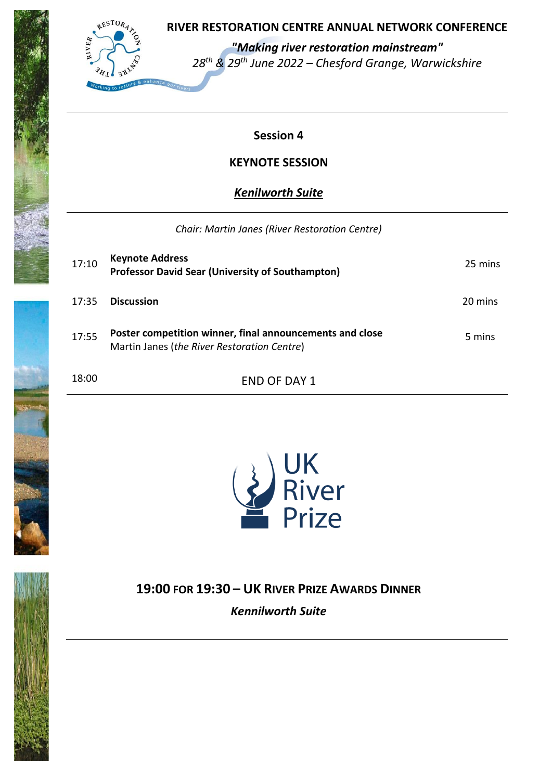

 *"Making river restoration mainstream" 28th & 29th June 2022 – Chesford Grange, Warwickshire*

# **Session 4**

# **KEYNOTE SESSION**

# *Kenilworth Suite*

### *Chair: Martin Janes (River Restoration Centre)*

| 17:10 | <b>Keynote Address</b><br><b>Professor David Sear (University of Southampton)</b>                       | 25 mins |
|-------|---------------------------------------------------------------------------------------------------------|---------|
| 17:35 | <b>Discussion</b>                                                                                       | 20 mins |
| 17:55 | Poster competition winner, final announcements and close<br>Martin Janes (the River Restoration Centre) | 5 mins  |
| 18:00 | END OF DAY 1                                                                                            |         |





**19:00 FOR 19:30 – UK RIVER PRIZE AWARDS DINNER** *Kennilworth Suite*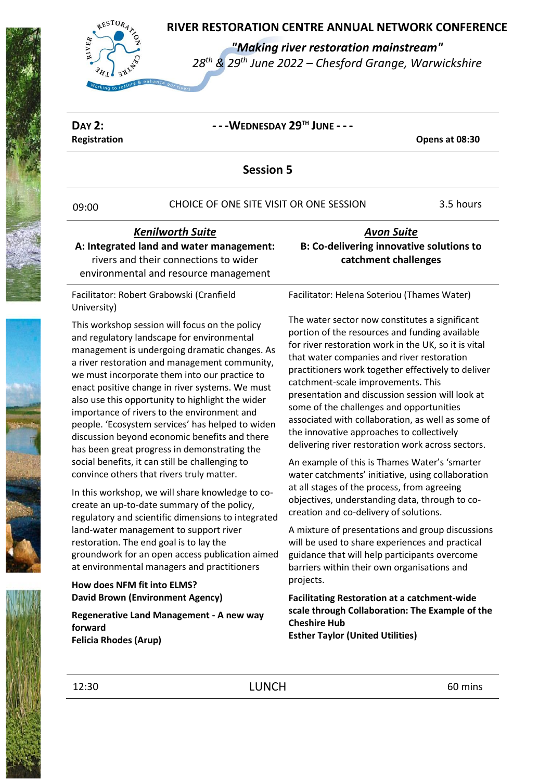

*"Making river restoration mainstream"*

*28th & 29th June 2022 – Chesford Grange, Warwickshire*

#### **DAY 2: - - -WEDNESDAY 29TH JUNE - - - Registration Opens at 08:30 Session 5** 09:00 CHOICE OF ONE SITE VISIT OR ONE SESSION 3.5 hours *Kenilworth Suite*  **A: Integrated land and water management:**  rivers and their connections to wider environmental and resource management *Avon Suite* **B: Co-delivering innovative solutions to catchment challenges** Facilitator: Robert Grabowski (Cranfield University) This workshop session will focus on the policy and regulatory landscape for environmental management is undergoing dramatic changes. As a river restoration and management community, we must incorporate them into our practice to enact positive change in river systems. We must also use this opportunity to highlight the wider importance of rivers to the environment and people. 'Ecosystem services' has helped to widen discussion beyond economic benefits and there has been great progress in demonstrating the social benefits, it can still be challenging to convince others that rivers truly matter. In this workshop, we will share knowledge to cocreate an up-to-date summary of the policy, regulatory and scientific dimensions to integrated land-water management to support river restoration. The end goal is to lay the groundwork for an open access publication aimed at environmental managers and practitioners **How does NFM fit into ELMS? David Brown (Environment Agency) Regenerative Land Management - A new way forward Felicia Rhodes (Arup)** Facilitator: Helena Soteriou (Thames Water) The water sector now constitutes a significant portion of the resources and funding available for river restoration work in the UK, so it is vital that water companies and river restoration practitioners work together effectively to deliver catchment-scale improvements. This presentation and discussion session will look at some of the challenges and opportunities associated with collaboration, as well as some of the innovative approaches to collectively delivering river restoration work across sectors. An example of this is Thames Water's 'smarter water catchments' initiative, using collaboration at all stages of the process, from agreeing objectives, understanding data, through to cocreation and co-delivery of solutions. A mixture of presentations and group discussions will be used to share experiences and practical guidance that will help participants overcome barriers within their own organisations and projects. **Facilitating Restoration at a catchment-wide scale through Collaboration: The Example of the Cheshire Hub Esther Taylor (United Utilities)** 12:30 **LUNCH EXECUTE EXECUTE EXECUTE EXECUTE EXECUTE EXECUTE EXECUTE EXECUTE EXECUTE EXECUTE EXECUTE EXECUTE**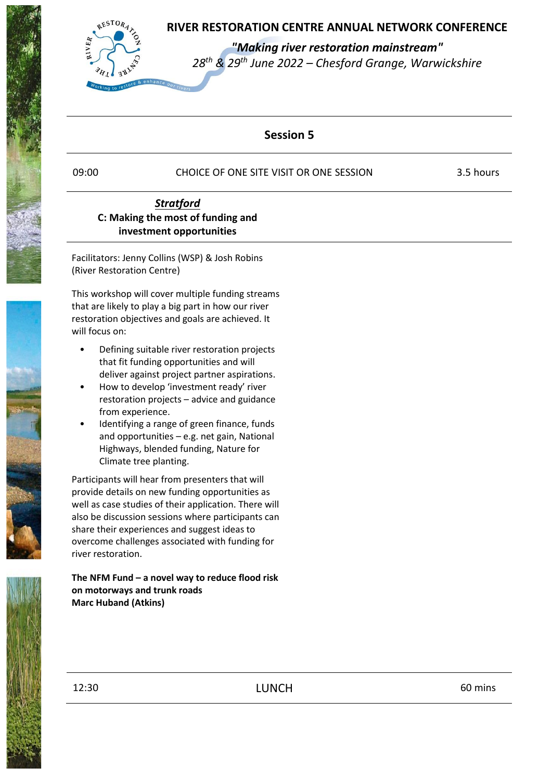

 *"Making river restoration mainstream" 28th & 29th June 2022 – Chesford Grange, Warwickshire*

# **Session 5**

09:00 CHOICE OF ONE SITE VISIT OR ONE SESSION 3.5 hours

## *Stratford* **C: Making the most of funding and investment opportunities**

Facilitators: Jenny Collins (WSP) & Josh Robins (River Restoration Centre)

This workshop will cover multiple funding streams that are likely to play a big part in how our river restoration objectives and goals are achieved. It will focus on:

- Defining suitable river restoration projects that fit funding opportunities and will deliver against project partner aspirations.
- How to develop 'investment ready' river restoration projects – advice and guidance from experience.
- Identifying a range of green finance, funds and opportunities – e.g. net gain, National Highways, blended funding, Nature for Climate tree planting.

Participants will hear from presenters that will provide details on new funding opportunities as well as case studies of their application. There will also be discussion sessions where participants can share their experiences and suggest ideas to overcome challenges associated with funding for river restoration.

#### **The NFM Fund – a novel way to reduce flood risk on motorways and trunk roads Marc Huband (Atkins)**



12:30 **LUNCH** 60 mins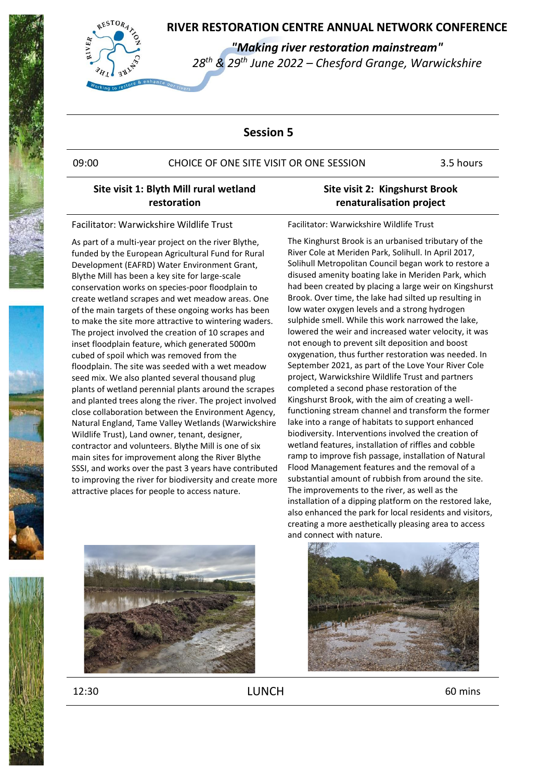

 *"Making river restoration mainstream" 28th & 29th June 2022 – Chesford Grange, Warwickshire*

### **Session 5**

#### 09:00 CHOICE OF ONE SITE VISIT OR ONE SESSION 3.5 hours

### **Site visit 1: Blyth Mill rural wetland restoration**

Facilitator: Warwickshire Wildlife Trust

As part of a multi-year project on the river Blythe, funded by the European Agricultural Fund for Rural Development (EAFRD) Water Environment Grant, Blythe Mill has been a key site for large-scale conservation works on species-poor floodplain to create wetland scrapes and wet meadow areas. One of the main targets of these ongoing works has been to make the site more attractive to wintering waders. The project involved the creation of 10 scrapes and inset floodplain feature, which generated 5000m cubed of spoil which was removed from the floodplain. The site was seeded with a wet meadow seed mix. We also planted several thousand plug plants of wetland perennial plants around the scrapes and planted trees along the river. The project involved close collaboration between the Environment Agency, Natural England, Tame Valley Wetlands (Warwickshire Wildlife Trust), Land owner, tenant, designer, contractor and volunteers. Blythe Mill is one of six main sites for improvement along the River Blythe SSSI, and works over the past 3 years have contributed to improving the river for biodiversity and create more attractive places for people to access nature.

### **Site visit 2: Kingshurst Brook renaturalisation project**

Facilitator: Warwickshire Wildlife Trust

The Kinghurst Brook is an urbanised tributary of the River Cole at Meriden Park, Solihull. In April 2017, Solihull Metropolitan Council began work to restore a disused amenity boating lake in Meriden Park, which had been created by placing a large weir on Kingshurst Brook. Over time, the lake had silted up resulting in low water oxygen levels and a strong hydrogen sulphide smell. While this work narrowed the lake, lowered the weir and increased water velocity, it was not enough to prevent silt deposition and boost oxygenation, thus further restoration was needed. In September 2021, as part of the Love Your River Cole project, Warwickshire Wildlife Trust and partners completed a second phase restoration of the Kingshurst Brook, with the aim of creating a wellfunctioning stream channel and transform the former lake into a range of habitats to support enhanced biodiversity. Interventions involved the creation of wetland features, installation of riffles and cobble ramp to improve fish passage, installation of Natural Flood Management features and the removal of a substantial amount of rubbish from around the site. The improvements to the river, as well as the installation of a dipping platform on the restored lake, also enhanced the park for local residents and visitors, creating a more aesthetically pleasing area to access and connect with nature.



12:30 **LUNCH** 60 mins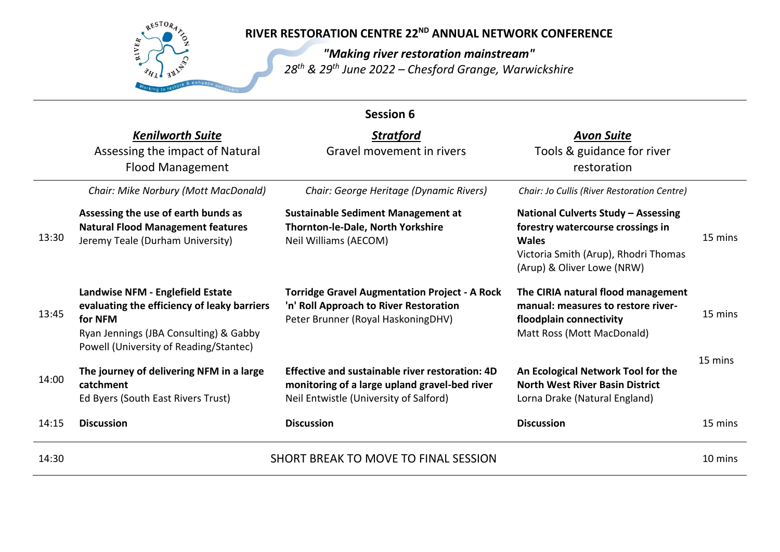

# **RIVER RESTORATION CENTRE 22<sup>ND</sup> ANNUAL NETWORK CONFERENCE**

*"Making river restoration mainstream" 28th & 29th June 2022 – Chesford Grange, Warwickshire*

| <b>Session 6</b> |                                                                                                                                                                                |                                                                                                                                            |                                                                                                                                                                |         |
|------------------|--------------------------------------------------------------------------------------------------------------------------------------------------------------------------------|--------------------------------------------------------------------------------------------------------------------------------------------|----------------------------------------------------------------------------------------------------------------------------------------------------------------|---------|
|                  | <b>Kenilworth Suite</b>                                                                                                                                                        | <b>Stratford</b>                                                                                                                           | <b>Avon Suite</b>                                                                                                                                              |         |
|                  | Assessing the impact of Natural<br><b>Flood Management</b>                                                                                                                     | Gravel movement in rivers                                                                                                                  | Tools & guidance for river<br>restoration                                                                                                                      |         |
|                  | Chair: Mike Norbury (Mott MacDonald)                                                                                                                                           | Chair: George Heritage (Dynamic Rivers)                                                                                                    | Chair: Jo Cullis (River Restoration Centre)                                                                                                                    |         |
| 13:30            | Assessing the use of earth bunds as<br><b>Natural Flood Management features</b><br>Jeremy Teale (Durham University)                                                            | <b>Sustainable Sediment Management at</b><br>Thornton-le-Dale, North Yorkshire<br>Neil Williams (AECOM)                                    | National Culverts Study - Assessing<br>forestry watercourse crossings in<br><b>Wales</b><br>Victoria Smith (Arup), Rhodri Thomas<br>(Arup) & Oliver Lowe (NRW) | 15 mins |
| 13:45            | Landwise NFM - Englefield Estate<br>evaluating the efficiency of leaky barriers<br>for NFM<br>Ryan Jennings (JBA Consulting) & Gabby<br>Powell (University of Reading/Stantec) | <b>Torridge Gravel Augmentation Project - A Rock</b><br>'n' Roll Approach to River Restoration<br>Peter Brunner (Royal HaskoningDHV)       | The CIRIA natural flood management<br>manual: measures to restore river-<br>floodplain connectivity<br>Matt Ross (Mott MacDonald)                              | 15 mins |
| 14:00            | The journey of delivering NFM in a large<br>catchment<br>Ed Byers (South East Rivers Trust)                                                                                    | Effective and sustainable river restoration: 4D<br>monitoring of a large upland gravel-bed river<br>Neil Entwistle (University of Salford) | An Ecological Network Tool for the<br><b>North West River Basin District</b><br>Lorna Drake (Natural England)                                                  | 15 mins |
| 14:15            | <b>Discussion</b>                                                                                                                                                              | <b>Discussion</b>                                                                                                                          | <b>Discussion</b>                                                                                                                                              | 15 mins |
| 14:30            |                                                                                                                                                                                | SHORT BREAK TO MOVE TO FINAL SESSION                                                                                                       |                                                                                                                                                                | 10 mins |